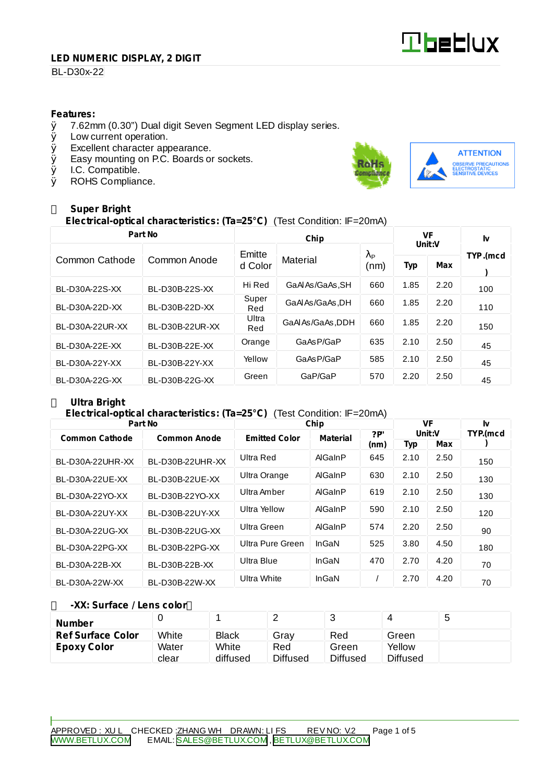# **Tbeblux**

#### **LED NUMERIC DISPLAY, 2 DIGIT**

## BL-D30x-22

#### **Features:**

- $\%$  7.62mm (0.30") Dual digit Seven Segment LED display series.<br> $\%$  Low current operation.
- Low current operation.
- Ø Excellent character appearance.
- $\emptyset$  Easy mounting on P.C. Boards or sockets.<br> $\emptyset$  I.C. Compatible.
- Ø I.C. Compatible.<br>Ø ROHS Complian
- ROHS Compliance.



# **Super Bright**

# **Electrical-optical characteristics: (Ta=25°C)** (Test Condition: IF=20mA)

| Part No         |                         |              | VF                |                        | Iv     |      |          |  |
|-----------------|-------------------------|--------------|-------------------|------------------------|--------|------|----------|--|
|                 |                         | Emitte       |                   | $\lambda_{\mathsf{P}}$ | Unit:V |      | TYP.(mcd |  |
| Common Cathode  | Common Anode<br>d Color |              | Material          | (nm)                   | Typ    | Max  |          |  |
| BL-D30A-22S-XX  | BL-D30B-22S-XX          | Hi Red       | GaAl As/GaAs, SH  | 660                    | 1.85   | 2.20 | 100      |  |
| BL-D30A-22D-XX  | BL-D30B-22D-XX          | Super<br>Red | GaAlAs/GaAs.DH    | 660                    | 1.85   | 2.20 | 110      |  |
| BL-D30A-22UR-XX | BL-D30B-22UR-XX         | Ultra<br>Red | GaAl As/GaAs, DDH | 660                    | 1.85   | 2.20 | 150      |  |
| BL-D30A-22E-XX  | BL-D30B-22E-XX          | Orange       | GaAsP/GaP         | 635                    | 2.10   | 2.50 | 45       |  |
| BL-D30A-22Y-XX  | BL-D30B-22Y-XX          | Yellow       | GaAsP/GaP         | 585                    | 2.10   | 2.50 | 45       |  |
| BL-D30A-22G-XX  | BL-D30B-22G-XX          | Green        | GaP/GaP           | 570                    | 2.20   | 2.50 | 45       |  |

# **Ultra Bright**

## **Electrical-optical characteristics: (Ta=25°C)** (Test Condition: IF=20mA)

| Part No               |                     | Chip                 | VF              |      | Iv     |      |          |
|-----------------------|---------------------|----------------------|-----------------|------|--------|------|----------|
| <b>Common Cathode</b> | <b>Common Anode</b> | <b>Emitted Color</b> | <b>Material</b> | ?P   | Unit:V |      | TYP.(mcd |
|                       |                     |                      |                 | (nm) | Typ    | Max  |          |
| BL-D30A-22UHR-XX      | BL-D30B-22UHR-XX    | Ultra Red            | AlGaInP         | 645  | 2.10   | 2.50 | 150      |
| BL-D30A-22UE-XX       | BL-D30B-22UE-XX     | Ultra Orange         | AlGaInP         | 630  | 2.10   | 2.50 | 130      |
| BL-D30A-22YO-XX       | BL-D30B-22YO-XX     | Ultra Amber          | AlGaInP         | 619  | 2.10   | 2.50 | 130      |
| BL-D30A-22UY-XX       | BL-D30B-22UY-XX     | Ultra Yellow         | AlGaInP         | 590  | 2.10   | 2.50 | 120      |
| BL-D30A-22UG-XX       | BL-D30B-22UG-XX     | Ultra Green          | AlGaInP         | 574  | 2.20   | 2.50 | 90       |
| BL-D30A-22PG-XX       | BL-D30B-22PG-XX     | Ultra Pure Green     | InGaN           | 525  | 3.80   | 4.50 | 180      |
| BL-D30A-22B-XX        | BL-D30B-22B-XX      | Ultra Blue           | InGaN           | 470  | 2.70   | 4.20 | 70       |
| BL-D30A-22W-XX        | BL-D30B-22W-XX      | Ultra White          | InGaN           |      | 2.70   | 4.20 | 70       |

#### **-XX: Surface / Lens color**

| <b>Number</b>            |       |              | _               |                 |                 | -5 |
|--------------------------|-------|--------------|-----------------|-----------------|-----------------|----|
| <b>Ref Surface Color</b> | White | <b>Black</b> | Grav            | Red             | Green           |    |
| <b>Epoxy Color</b>       | Water | White        | Red             | Green           | Yellow          |    |
|                          | clear | diffused     | <b>Diffused</b> | <b>Diffused</b> | <b>Diffused</b> |    |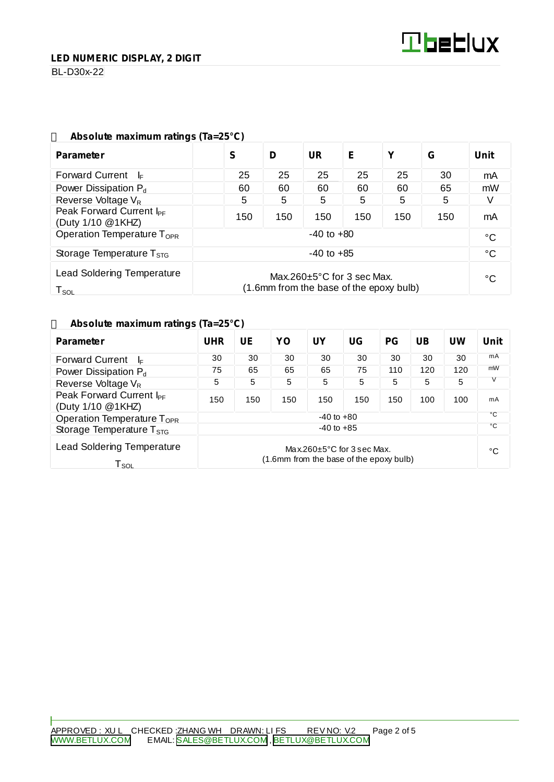BL-D30x-22

| Absolute maximum ratings (1a=25°C)                                                                                                |                |     |           |     |     |     |              |  |
|-----------------------------------------------------------------------------------------------------------------------------------|----------------|-----|-----------|-----|-----|-----|--------------|--|
| <b>Parameter</b>                                                                                                                  | S              | D   | <b>UR</b> | Е   | Υ   | G   | <b>Unit</b>  |  |
| <b>Forward Current</b><br>-l⊧                                                                                                     | 25             | 25  | 25        | 25  | 25  | 30  | mA           |  |
| Power Dissipation $P_d$                                                                                                           | 60             | 60  | 60        | 60  | 60  | 65  | mW           |  |
| Reverse Voltage $V_R$                                                                                                             | 5              | 5   | 5         | 5   | 5   | 5   |              |  |
| Peak Forward Current I <sub>PF</sub><br>(Duty 1/10 @1KHZ)                                                                         | 150            | 150 | 150       | 150 | 150 | 150 | mA           |  |
| Operation Temperature T <sub>OPR</sub>                                                                                            | $-40$ to $+80$ |     |           |     |     |     | $^{\circ}$ C |  |
| Storage Temperature $T_{\text{STG}}$                                                                                              | $-40$ to $+85$ |     |           |     |     |     | $^{\circ}$ C |  |
| <b>Lead Soldering Temperature</b><br>Max.260 $\pm$ 5°C for 3 sec Max.<br>(1.6mm from the base of the epoxy bulb)<br>$T_{\rm SOL}$ |                |     |           |     | °C  |     |              |  |

# **Absolute maximum ratings (Ta=25°C)**

### **Absolute maximum ratings (Ta=25°C)**

| <b>Parameter</b>                                                 | <b>UHR</b>                                                                  | UE  | YO  | <b>UY</b> | UG  | <b>PG</b> | <b>UB</b> | UW  | <b>Unit</b>  |
|------------------------------------------------------------------|-----------------------------------------------------------------------------|-----|-----|-----------|-----|-----------|-----------|-----|--------------|
| <b>Forward Current</b><br>I⊧                                     | 30                                                                          | 30  | 30  | 30        | 30  | 30        | 30        | 30  | mA           |
| Power Dissipation P <sub>d</sub>                                 | 75                                                                          | 65  | 65  | 65        | 75  | 110       | 120       | 120 | mW           |
| Reverse Voltage V <sub>R</sub>                                   | 5                                                                           | 5   | 5   | 5         | 5   | 5         | 5         | 5   |              |
| Peak Forward Current I <sub>PF</sub><br>(Duty 1/10 @1KHZ)        | 150                                                                         | 150 | 150 | 150       | 150 | 150       | 100       | 100 | mA           |
| Operation Temperature T <sub>OPR</sub>                           | $-40$ to $+80$                                                              |     |     |           |     |           |           |     | °C           |
| Storage Temperature $T_{\rm STG}$                                | $-40$ to $+85$                                                              |     |     |           |     |           |           |     | $^{\circ}$ C |
| <b>Lead Soldering Temperature</b><br>$\mathsf{T}_{\mathsf{SOL}}$ | Max.260 $\pm$ 5°C for 3 sec Max.<br>(1.6mm from the base of the epoxy bulb) |     |     |           |     |           |           | °C  |              |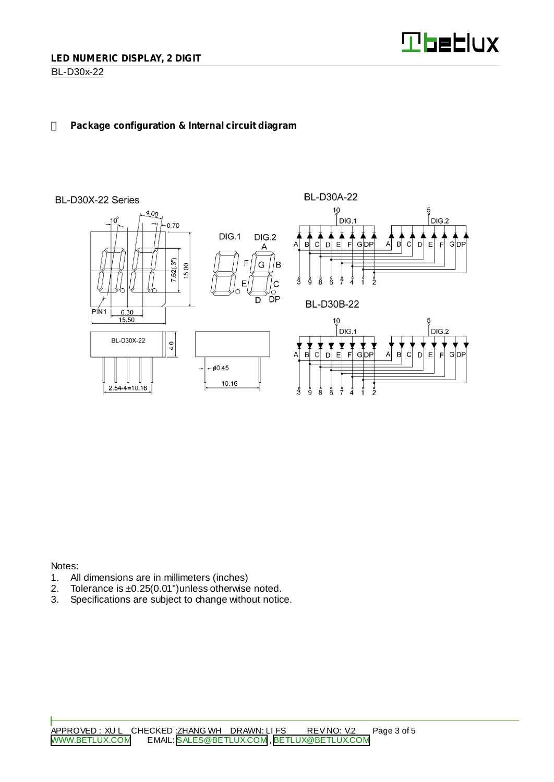

BL-D30x-22

## **Package configuration & Internal circuit diagram**



Notes:

- 1. All dimensions are in millimeters (inches)<br>2. Tolerance is  $\pm 0.25(0.01)$  unless otherwise
- 2. Tolerance is  $\pm 0.25(0.01")$  unless otherwise noted.<br>3. Specifications are subject to change without notic
- Specifications are subject to change without notice.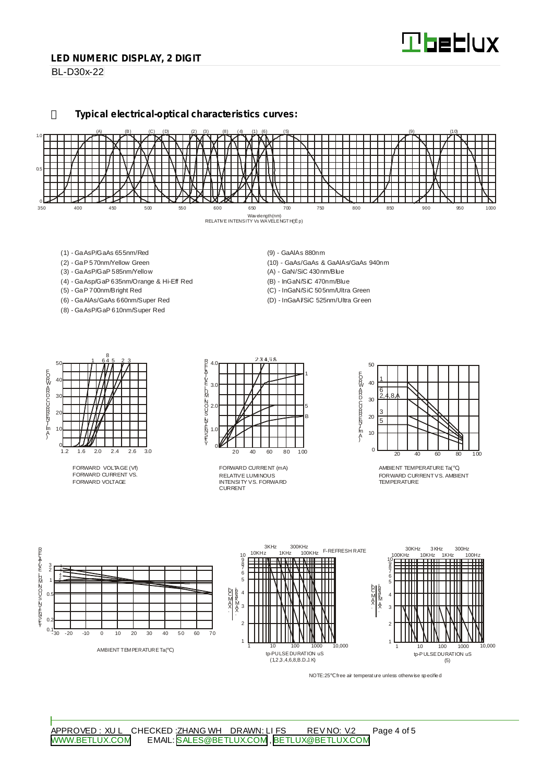# **Tbeblux**

#### **LED NUMERIC DISPLAY, 2 DIGIT**

BL-D30x-22

**Typical electrical-optical characteristics curves:**



- (1) GaAsP/GaAs 655nm/Red
- (2) GaP 570nm/Yellow Green
- (3) GaAsP/GaP 585nm/Yellow
- (4) GaAsp/GaP 635nm/Orange & Hi-Eff Red
- (5) GaP 700nm/Bright Red
- (6) GaAlAs/GaAs 660nm/Super Red
- (8) GaAsP/GaP 610nm/Super Red
- (9) GaAlAs 880nm
- (10) GaAs/GaAs & GaAlAs/GaAs 940nm
- (A) GaN/SiC 430nm/Blue
- (B) InGaN/SiC 470nm/Blue
- (C) InGaN/SiC 505nm/Ultra Green
- (D) InGaAl/SiC 525nm/Ultra Green



FORWARD VOLTAGE (Vf) FORWARD CURRENT VS. FORWARD VOLTAGE



RELATIVE LUMINOUS INTENSITY VS. FORWARD CURRENT FORWARD CURRENT (mA)



AMBIENT TEMPERATURE Ta( ) FORWARD CURRENTVS. AMBIENT TEMPER ATLIRE



NOTE:25 free air temperature unless otherwise specified